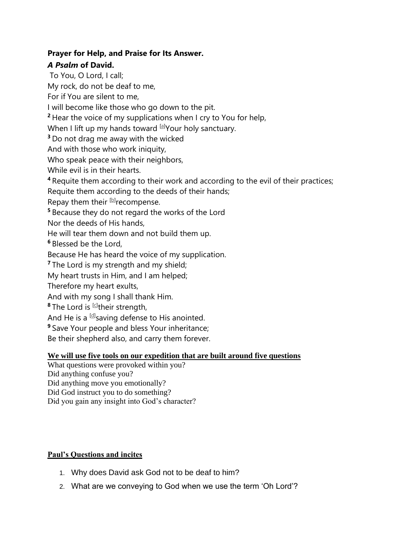## **Prayer for Help, and Praise for Its Answer.**

## *A Psalm* **of David.**

To You, O Lord, I call;

My rock, do not be deaf to me,

For if You are silent to me,

I will become like those who go down to the pit.

**<sup>2</sup>** Hear the voice of my supplications when I cry to You for help,

When I lift up my hands toward <sup>[\[a\]](https://www.biblegateway.com/passage/?search=psalm+28&version=NASB#fen-NASB-14302a)</sup>Your holy sanctuary.

**<sup>3</sup>** Do not drag me away with the wicked

And with those who work iniquity,

Who speak peace with their neighbors,

While evil is in their hearts.

**<sup>4</sup>** Requite them according to their work and according to the evil of their practices;

Requite them according to the deeds of their hands;

Repay them their [\[b\]](https://www.biblegateway.com/passage/?search=psalm+28&version=NASB#fen-NASB-14304b) recompense.

**<sup>5</sup>** Because they do not regard the works of the Lord

Nor the deeds of His hands,

He will tear them down and not build them up.

**<sup>6</sup>** Blessed be the Lord,

Because He has heard the voice of my supplication.

<sup>7</sup> The Lord is my strength and my shield;

My heart trusts in Him, and I am helped;

Therefore my heart exults,

And with my song I shall thank Him.

**8** The Lord is <sup>[\[c\]](https://www.biblegateway.com/passage/?search=psalm+28&version=NASB#fen-NASB-14308c)</sup>their strength,

And He is a <sup>[\[d\]](https://www.biblegateway.com/passage/?search=psalm+28&version=NASB#fen-NASB-14308d)</sup>saving defense to His anointed.

**<sup>9</sup>** Save Your people and bless Your inheritance;

Be their shepherd also, and carry them forever.

## **We will use five tools on our expedition that are built around five questions**

What questions were provoked within you?

Did anything confuse you?

Did anything move you emotionally?

Did God instruct you to do something?

Did you gain any insight into God's character?

## **Paul's Questions and incites**

- 1. Why does David ask God not to be deaf to him?
- 2. What are we conveying to God when we use the term 'Oh Lord'?